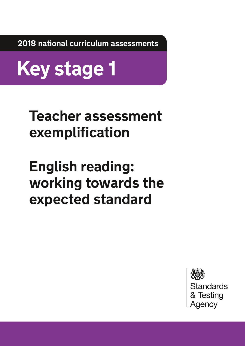**2018 national curriculum assessments**

# **Key stage 1**

## **Teacher assessment exemplification**

## **English reading: working towards the expected standard**

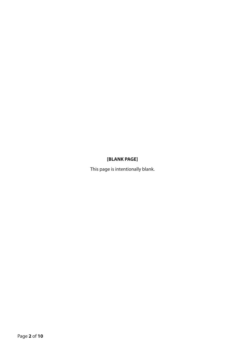## **[BLANK PAGE]**

This page is intentionally blank.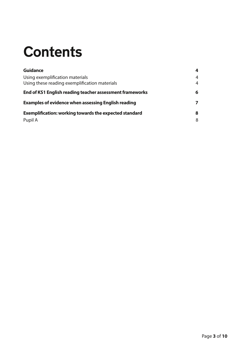## **Contents**

| <b>Guidance</b><br>Using exemplification materials<br>Using these reading exemplification materials<br>End of KS1 English reading teacher assessment frameworks | 4<br>4<br>$\overline{4}$<br>6 |                                                                          |        |
|-----------------------------------------------------------------------------------------------------------------------------------------------------------------|-------------------------------|--------------------------------------------------------------------------|--------|
|                                                                                                                                                                 |                               | <b>Examples of evidence when assessing English reading</b>               | 7      |
|                                                                                                                                                                 |                               | <b>Exemplification: working towards the expected standard</b><br>Pupil A | 8<br>8 |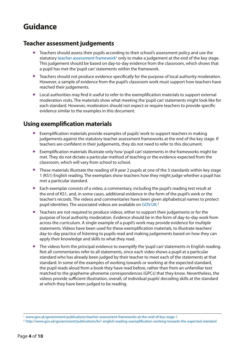## <span id="page-3-0"></span>**Guidance**

## **Teacher assessment judgements**

- Teachers should assess their pupils according to their school's assessment policy and use the statutory teacher assessment framework<sup>1</sup> only to make a judgement at the end of the key stage. This judgement should be based on day-to-day evidence from the classroom, which shows that a pupil has met the 'pupil can' statements within the framework.
- Teachers should not produce evidence specifically for the purpose of local authority moderation. However, a sample of evidence from the pupil's classroom work must support how teachers have reached their judgements.
- Local authorities may find it useful to refer to the exemplification materials to support external moderation visits. The materials show what meeting the 'pupil can' statements might look like for each standard. However, moderators should not expect or require teachers to provide specific evidence similar to the examples in this document.

## **Using exemplification materials**

- Exemplification materials provide examples of pupils' work to support teachers in making judgements against the statutory teacher assessment frameworks at the end of the key stage. If teachers are confident in their judgements, they do not need to refer to this document.
- Exemplification materials illustrate only how 'pupil can' statements in the frameworks might be met. They do not dictate a particular method of teaching or the evidence expected from the classroom, which will vary from school to school.
- These materials illustrate the reading of 8 year 2 pupils at one of the 3 standards within key stage 1 (KS1) English reading. The exemplars show teachers how they might judge whether a pupil has met a particular standard.
- Each exemplar consists of a video, a commentary, including the pupil's reading test result at the end of KS1, and, in some cases, additional evidence in the form of the pupil's work or the teacher's records. The videos and commentaries have been given alphabetical names to protect pupil identities. The associated videos are available on [GOV.UK](http://www.gov.uk/government/publications/ks1-english-reading-exemplification-working-towards-the-expected-standard).<sup>2</sup>
- Teachers are not required to produce videos, either to support their judgements or for the purpose of local authority moderation. Evidence should be in the form of day-to-day work from across the curriculum. A single example of a pupil's work may provide evidence for multiple statements. Videos have been used for these exemplification materials, to illustrate teachers' day-to-day practice of listening to pupils read and making judgements based on how they can apply their knowledge and skills to what they read.
- The videos form the principal evidence to exemplify the 'pupil can' statements in English reading. Not all commentaries refer to all statements, since each video shows a pupil at a particular standard who has already been judged by their teacher to meet each of the statements at that standard. In some of the examples of working towards or working at the expected standard, the pupil reads aloud from a book they have read before, rather than from an unfamiliar text matched to the grapheme-phoneme correspondences (GPCs) that they know. Nevertheless, the videos provide sufficient illustration, overall, of individual pupils' decoding skills at the standard at which they have been judged to be reading.

<sup>1</sup> [www.gov.uk/government/publications/teacher-assessment-frameworks-at-the-end-of-key-stage-1](http://www.gov.uk/government/publications/teacher-assessment-frameworks-at-the-end-of-key-stage-1)

<sup>2</sup> [http://www.gov.uk/government/publications/ks1-english-reading-exemplification-working-towards-the-expected-standard](http://www.gov.uk/government/publications/ks1-english-reading-exemplification-working-towards-the-ex)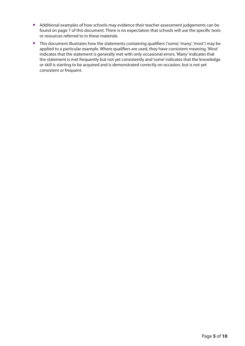- Additional examples of how schools may evidence their teacher assessment judgements can be found on page 7 of this document. There is no expectation that schools will use the specific texts or resources referred to in these materials.
- This document illustrates how the statements containing qualifiers ('some', 'many', 'most') may be applied to a particular example. Where qualifiers are used, they have consistent meaning. 'Most' indicates that the statement is generally met with only occasional errors. 'Many' indicates that the statement is met frequently but not yet consistently and 'some' indicates that the knowledge or skill is starting to be acquired and is demonstrated correctly on occasion, but is not yet consistent or frequent.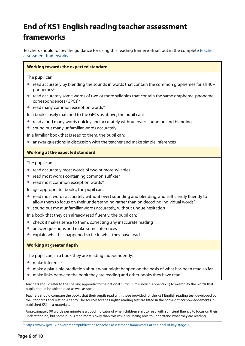## <span id="page-5-0"></span>**End of KS1 English reading teacher assessment frameworks**

Teachers should follow the [guidance](https://www.gov.uk/government/publications/teacher-assessment-frameworks-at-the-end-of-key-stage-1) for using this reading framework set out in the complete [teacher](https://www.gov.uk/government/publications/teacher-assessment-frameworks-at-the-end-of-key-stage-1) [assessment framework](https://www.gov.uk/government/publications/teacher-assessment-frameworks-at-the-end-of-key-stage-1)s. 3

#### **Working towards the expected standard**

The pupil can:

- read accurately by blending the sounds in words that contain the common graphemes for all  $40+$ phonemes\*
- read accurately some words of two or more syllables that contain the same grapheme-phoneme correspondences (GPCs)\*
- read many common exception words\*

In a book closely matched to the GPCs as above, the pupil can:

- read aloud many words quickly and accurately without overt sounding and blending
- sound out many unfamiliar words accurately

In a familiar book that is read to them, the pupil can:

• answer questions in discussion with the teacher and make simple inferences

#### **Working at the expected standard**

The pupil can:

- read accurately most words of two or more syllables
- read most words containing common suffixes\*
- read most common exception words\*

In age-appropriate<sup>1</sup> books, the pupil can:

- read most words accurately without overt sounding and blending, and sufficiently fluently to allow them to focus on their understanding rather than on decoding individual words<sup>2</sup>
- sound out most unfamiliar words accurately, without undue hesitation

In a book that they can already read fluently, the pupil can:

- check it makes sense to them, correcting any inaccurate reading
- answer questions and make some inferences
- explain what has happened so far in what they have read

### **Working at greater depth**

The pupil can, in a book they are reading independently:

- make inferences
- make a plausible prediction about what might happen on the basis of what has been read so far
- make links between the book they are reading and other books they have read

- <sup>1</sup> Teachers should compare the books that their pupils read with those provided for the KS1 English reading test developed by the Standards and Testing Agency. The sources for the English reading test are listed in the copyright acknowledgements in published KS1 test materials.
- <sup>2</sup> Approximately 90 words per minute is a good indicator of when children start to read with sufficient fluency to focus on their understanding, but some pupils read more slowly than this while still being able to understand what they are reading.
- <sup>3</sup> <https://www.gov.uk/government/publications/teacher-assessment-frameworks-at-the-end-of-key-stage-1>

Teachers should refer to the spelling appendix to the national curriculum (English Appendix 1) to exemplify the words that pupils should be able to read as well as spell.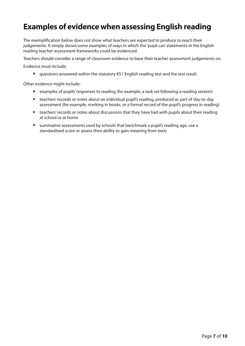## <span id="page-6-0"></span>**Examples of evidence when assessing English reading**

The exemplification below does not show what teachers are expected to produce to reach their judgements. It simply shows some examples of ways in which the 'pupil can' statements in the English reading teacher assessment frameworks could be evidenced.

Teachers should consider a range of classroom evidence to base their teacher assessment judgements on.

Evidence must include:

• questions answered within the statutory KS1 English reading test and the test result

Other evidence might include:

- examples of pupils' responses to reading (for example, a task set following a reading session)
- teachers' records or notes about an individual pupil's reading, produced as part of day-to-day assessment (for example, marking in books, or a formal record of the pupil's progress in reading)
- teachers' records or notes about discussions that they have had with pupils about their reading at school or at home
- summative assessments used by schools that benchmark a pupil's reading age, use a standardised score or assess their ability to gain meaning from texts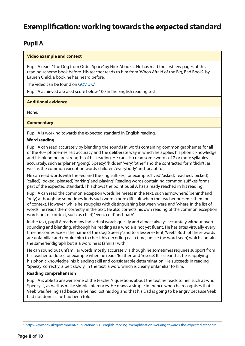## <span id="page-7-0"></span>**Exemplification: working towards the expected standard**

## **Pupil A**

### **Video example and context**

Pupil A reads 'The Dog from Outer Space' by Nick Abadzis. He has read the first few pages of this reading scheme book before. His teacher reads to him from 'Who's Afraid of the Big, Bad Book?' by Lauren Child, a book he has heard before.

The video can be found on [GOV.UK.](http://www.gov.uk/government/publications/ks1-english-reading-exemplification-working-towards-the-expected-standard) 4

Pupil A achieved a scaled score below 100 in the English reading test.

### **Additional evidence**

None.

### **Commentary**

Pupil A is working towards the expected standard in English reading.

## **Word reading**

Pupil A can read accurately by blending the sounds in words containing common graphemes for all of the 40+ phonemes. His accuracy and the deliberate way in which he applies his phonic knowledge and his blending are strengths of his reading. He can also read some words of 2 or more syllables accurately, such as 'planet', 'going', 'Speezy', 'hidden', 'very', 'other' and the contracted form 'didn't', as well as the common exception words 'children', 'everybody' and 'beautiful'.

He can read words with the -ed and the -ing suffixes, for example, 'lived', 'asked', 'reached', 'picked', 'called', 'looked', 'pleased', 'barking' and 'playing'. Reading words containing common suffixes forms part of the expected standard. This shows the point pupil A has already reached in his reading.

Pupil A can read the common exception words he meets in the text, such as 'nowhere', 'behind' and 'only', although he sometimes finds such words more difficult when the teacher presents them out of context. However, while he struggles with distinguishing between 'were' and 'where' in the list of words, he reads them correctly in the text. He also corrects his own reading of the common exception words out of context, such as 'child', 'even', 'cold' and 'bath'.

In the text, pupil A reads many individual words quickly and almost always accurately without overt sounding and blending, although his reading as a whole is not yet fluent. He hesitates virtually every time he comes across the name of the dog 'Speezy' and to a lesser extent, 'Veeb'. Both of these words are unfamiliar and require him to check his decoding each time, unlike the word 'seen', which contains the same 'ee' digraph but is a word he is familiar with.

He can sound out unfamiliar words mostly accurately, although he sometimes requires support from his teacher to do so, for example when he reads 'feather' and 'rescue'. It is clear that he is applying his phonic knowledge, his blending skill and considerable determination. He succeeds in reading 'Speezy' correctly, albeit slowly, in the text, a word which is clearly unfamiliar to him.

## **Reading comprehension**

Pupil A is able to answer some of the teacher's questions about the text he reads to her, such as who Speezy is, as well as make simple inferences. He draws a simple inference when he recognises that Veeb was feeling sad because he had lost his dog and that his Dad is going to be angry because Veeb had not done as he had been told.

<sup>4</sup> [http://www.gov.uk/government/publications/ks1-english-reading-exemplification-working-towards-the-expected-standard](http://www.gov.uk/government/publications/ks1-english-reading-exemplification-working-towards-the-ex)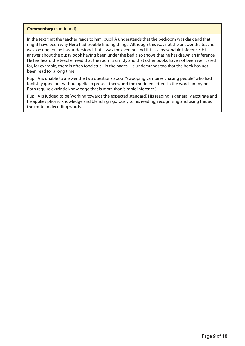#### **Commentary** (continued)

In the text that the teacher reads to him, pupil A understands that the bedroom was dark and that might have been why Herb had trouble finding things. Although this was not the answer the teacher was looking for, he has understood that it was the evening and this is a reasonable inference. His answer about the dusty book having been under the bed also shows that he has drawn an inference. He has heard the teacher read that the room is untidy and that other books have not been well cared for, for example, there is often food stuck in the pages. He understands too that the book has not been read for a long time.

Pupil A is unable to answer the two questions about "swooping vampires chasing people" who had foolishly gone out without garlic to protect them, and the muddled letters in the word 'untidying'. Both require extrinsic knowledge that is more than 'simple inference'.

Pupil A is judged to be 'working towards the expected standard'. His reading is generally accurate and he applies phonic knowledge and blending rigorously to his reading, recognising and using this as the route to decoding words.